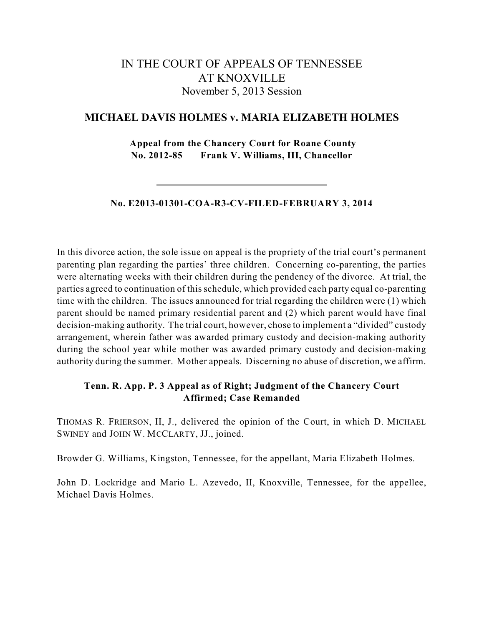# IN THE COURT OF APPEALS OF TENNESSEE AT KNOXVILLE November 5, 2013 Session

# **MICHAEL DAVIS HOLMES v. MARIA ELIZABETH HOLMES**

**Appeal from the Chancery Court for Roane County No. 2012-85 Frank V. Williams, III, Chancellor**

**No. E2013-01301-COA-R3-CV-FILED-FEBRUARY 3, 2014**

In this divorce action, the sole issue on appeal is the propriety of the trial court's permanent parenting plan regarding the parties' three children. Concerning co-parenting, the parties were alternating weeks with their children during the pendency of the divorce. At trial, the parties agreed to continuation of this schedule, which provided each party equal co-parenting time with the children. The issues announced for trial regarding the children were (1) which parent should be named primary residential parent and (2) which parent would have final decision-making authority. The trial court, however, chose to implement a "divided" custody arrangement, wherein father was awarded primary custody and decision-making authority during the school year while mother was awarded primary custody and decision-making authority during the summer. Mother appeals. Discerning no abuse of discretion, we affirm.

## **Tenn. R. App. P. 3 Appeal as of Right; Judgment of the Chancery Court Affirmed; Case Remanded**

THOMAS R. FRIERSON, II, J., delivered the opinion of the Court, in which D. MICHAEL SWINEY and JOHN W. MCCLARTY, JJ., joined.

Browder G. Williams, Kingston, Tennessee, for the appellant, Maria Elizabeth Holmes.

John D. Lockridge and Mario L. Azevedo, II, Knoxville, Tennessee, for the appellee, Michael Davis Holmes.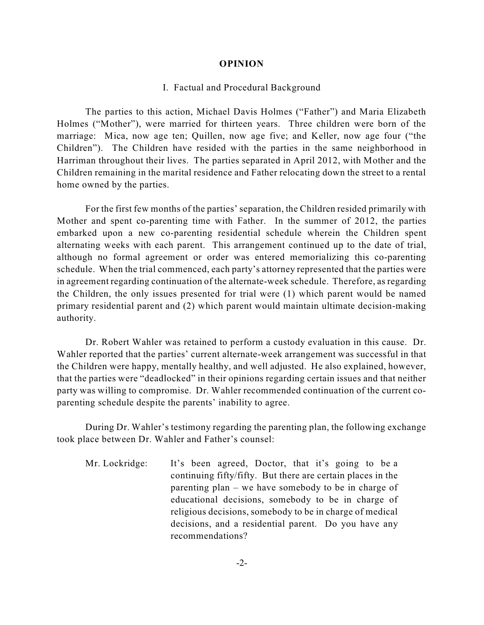#### **OPINION**

#### I. Factual and Procedural Background

The parties to this action, Michael Davis Holmes ("Father") and Maria Elizabeth Holmes ("Mother"), were married for thirteen years. Three children were born of the marriage: Mica, now age ten; Quillen, now age five; and Keller, now age four ("the Children"). The Children have resided with the parties in the same neighborhood in Harriman throughout their lives. The parties separated in April 2012, with Mother and the Children remaining in the marital residence and Father relocating down the street to a rental home owned by the parties.

For the first few months of the parties' separation, the Children resided primarily with Mother and spent co-parenting time with Father. In the summer of 2012, the parties embarked upon a new co-parenting residential schedule wherein the Children spent alternating weeks with each parent. This arrangement continued up to the date of trial, although no formal agreement or order was entered memorializing this co-parenting schedule. When the trial commenced, each party's attorney represented that the parties were in agreement regarding continuation of the alternate-week schedule. Therefore, as regarding the Children, the only issues presented for trial were (1) which parent would be named primary residential parent and (2) which parent would maintain ultimate decision-making authority.

Dr. Robert Wahler was retained to perform a custody evaluation in this cause. Dr. Wahler reported that the parties' current alternate-week arrangement was successful in that the Children were happy, mentally healthy, and well adjusted. He also explained, however, that the parties were "deadlocked" in their opinions regarding certain issues and that neither party was willing to compromise. Dr. Wahler recommended continuation of the current coparenting schedule despite the parents' inability to agree.

During Dr. Wahler's testimony regarding the parenting plan, the following exchange took place between Dr. Wahler and Father's counsel:

Mr. Lockridge: It's been agreed, Doctor, that it's going to be a continuing fifty/fifty. But there are certain places in the parenting plan – we have somebody to be in charge of educational decisions, somebody to be in charge of religious decisions, somebody to be in charge of medical decisions, and a residential parent. Do you have any recommendations?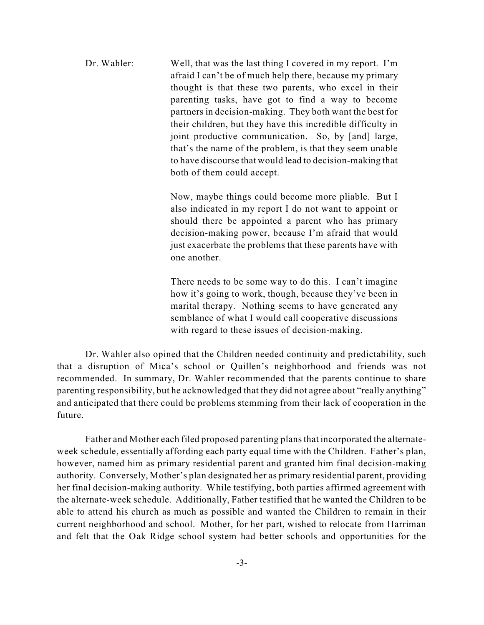Dr. Wahler: Well, that was the last thing I covered in my report. I'm afraid I can't be of much help there, because my primary thought is that these two parents, who excel in their parenting tasks, have got to find a way to become partners in decision-making. They both want the best for their children, but they have this incredible difficulty in joint productive communication. So, by [and] large, that's the name of the problem, is that they seem unable to have discourse that would lead to decision-making that both of them could accept.

> Now, maybe things could become more pliable. But I also indicated in my report I do not want to appoint or should there be appointed a parent who has primary decision-making power, because I'm afraid that would just exacerbate the problems that these parents have with one another.

> There needs to be some way to do this. I can't imagine how it's going to work, though, because they've been in marital therapy. Nothing seems to have generated any semblance of what I would call cooperative discussions with regard to these issues of decision-making.

Dr. Wahler also opined that the Children needed continuity and predictability, such that a disruption of Mica's school or Quillen's neighborhood and friends was not recommended. In summary, Dr. Wahler recommended that the parents continue to share parenting responsibility, but he acknowledged that they did not agree about "really anything" and anticipated that there could be problems stemming from their lack of cooperation in the future.

Father and Mother each filed proposed parenting plans that incorporated the alternateweek schedule, essentially affording each party equal time with the Children. Father's plan, however, named him as primary residential parent and granted him final decision-making authority. Conversely, Mother's plan designated her as primary residential parent, providing her final decision-making authority. While testifying, both parties affirmed agreement with the alternate-week schedule. Additionally, Father testified that he wanted the Children to be able to attend his church as much as possible and wanted the Children to remain in their current neighborhood and school. Mother, for her part, wished to relocate from Harriman and felt that the Oak Ridge school system had better schools and opportunities for the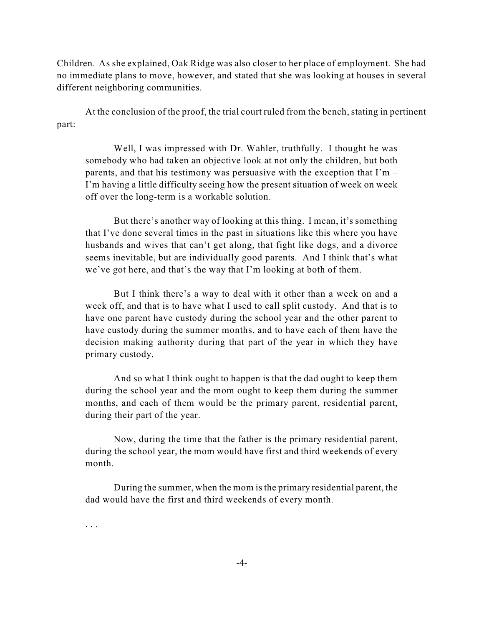Children. As she explained, Oak Ridge was also closer to her place of employment. She had no immediate plans to move, however, and stated that she was looking at houses in several different neighboring communities.

At the conclusion of the proof, the trial court ruled from the bench, stating in pertinent part:

Well, I was impressed with Dr. Wahler, truthfully. I thought he was somebody who had taken an objective look at not only the children, but both parents, and that his testimony was persuasive with the exception that  $\Gamma m$  – I'm having a little difficulty seeing how the present situation of week on week off over the long-term is a workable solution.

But there's another way of looking at this thing. I mean, it's something that I've done several times in the past in situations like this where you have husbands and wives that can't get along, that fight like dogs, and a divorce seems inevitable, but are individually good parents. And I think that's what we've got here, and that's the way that I'm looking at both of them.

But I think there's a way to deal with it other than a week on and a week off, and that is to have what I used to call split custody. And that is to have one parent have custody during the school year and the other parent to have custody during the summer months, and to have each of them have the decision making authority during that part of the year in which they have primary custody.

And so what I think ought to happen is that the dad ought to keep them during the school year and the mom ought to keep them during the summer months, and each of them would be the primary parent, residential parent, during their part of the year.

Now, during the time that the father is the primary residential parent, during the school year, the mom would have first and third weekends of every month.

During the summer, when the mom is the primary residential parent, the dad would have the first and third weekends of every month.

. . .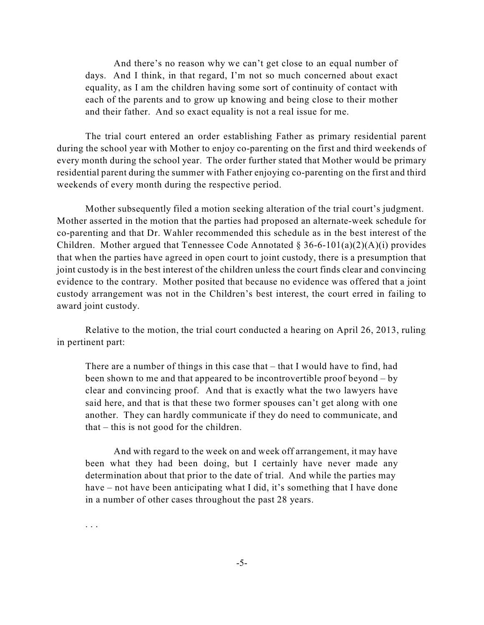And there's no reason why we can't get close to an equal number of days. And I think, in that regard, I'm not so much concerned about exact equality, as I am the children having some sort of continuity of contact with each of the parents and to grow up knowing and being close to their mother and their father. And so exact equality is not a real issue for me.

The trial court entered an order establishing Father as primary residential parent during the school year with Mother to enjoy co-parenting on the first and third weekends of every month during the school year. The order further stated that Mother would be primary residential parent during the summer with Father enjoying co-parenting on the first and third weekends of every month during the respective period.

Mother subsequently filed a motion seeking alteration of the trial court's judgment. Mother asserted in the motion that the parties had proposed an alternate-week schedule for co-parenting and that Dr. Wahler recommended this schedule as in the best interest of the Children. Mother argued that Tennessee Code Annotated  $\S 36-6-101(a)(2)(A)(i)$  provides that when the parties have agreed in open court to joint custody, there is a presumption that joint custody is in the best interest of the children unless the court finds clear and convincing evidence to the contrary. Mother posited that because no evidence was offered that a joint custody arrangement was not in the Children's best interest, the court erred in failing to award joint custody.

Relative to the motion, the trial court conducted a hearing on April 26, 2013, ruling in pertinent part:

There are a number of things in this case that – that I would have to find, had been shown to me and that appeared to be incontrovertible proof beyond – by clear and convincing proof. And that is exactly what the two lawyers have said here, and that is that these two former spouses can't get along with one another. They can hardly communicate if they do need to communicate, and that – this is not good for the children.

And with regard to the week on and week off arrangement, it may have been what they had been doing, but I certainly have never made any determination about that prior to the date of trial. And while the parties may have – not have been anticipating what I did, it's something that I have done in a number of other cases throughout the past 28 years.

. . .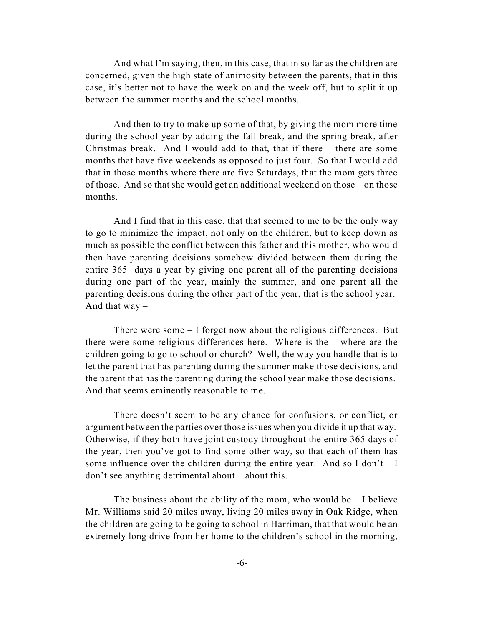And what I'm saying, then, in this case, that in so far as the children are concerned, given the high state of animosity between the parents, that in this case, it's better not to have the week on and the week off, but to split it up between the summer months and the school months.

And then to try to make up some of that, by giving the mom more time during the school year by adding the fall break, and the spring break, after Christmas break. And I would add to that, that if there – there are some months that have five weekends as opposed to just four. So that I would add that in those months where there are five Saturdays, that the mom gets three of those. And so that she would get an additional weekend on those – on those months.

And I find that in this case, that that seemed to me to be the only way to go to minimize the impact, not only on the children, but to keep down as much as possible the conflict between this father and this mother, who would then have parenting decisions somehow divided between them during the entire 365 days a year by giving one parent all of the parenting decisions during one part of the year, mainly the summer, and one parent all the parenting decisions during the other part of the year, that is the school year. And that  $way -$ 

There were some – I forget now about the religious differences. But there were some religious differences here. Where is the – where are the children going to go to school or church? Well, the way you handle that is to let the parent that has parenting during the summer make those decisions, and the parent that has the parenting during the school year make those decisions. And that seems eminently reasonable to me.

There doesn't seem to be any chance for confusions, or conflict, or argument between the parties over those issues when you divide it up that way. Otherwise, if they both have joint custody throughout the entire 365 days of the year, then you've got to find some other way, so that each of them has some influence over the children during the entire year. And so I don't  $-1$ don't see anything detrimental about – about this.

The business about the ability of the mom, who would be  $-1$  believe Mr. Williams said 20 miles away, living 20 miles away in Oak Ridge, when the children are going to be going to school in Harriman, that that would be an extremely long drive from her home to the children's school in the morning,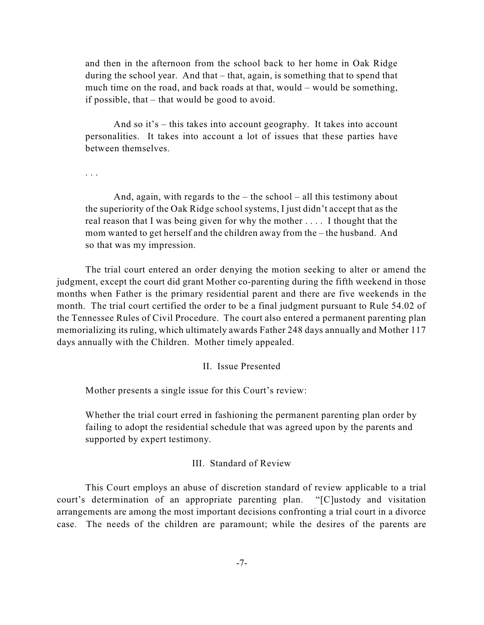and then in the afternoon from the school back to her home in Oak Ridge during the school year. And that – that, again, is something that to spend that much time on the road, and back roads at that, would – would be something, if possible, that – that would be good to avoid.

And so it's – this takes into account geography. It takes into account personalities. It takes into account a lot of issues that these parties have between themselves.

. . .

And, again, with regards to the  $-$  the school  $-$  all this testimony about the superiority of the Oak Ridge school systems, I just didn't accept that as the real reason that I was being given for why the mother . . . . I thought that the mom wanted to get herself and the children away from the – the husband. And so that was my impression.

The trial court entered an order denying the motion seeking to alter or amend the judgment, except the court did grant Mother co-parenting during the fifth weekend in those months when Father is the primary residential parent and there are five weekends in the month. The trial court certified the order to be a final judgment pursuant to Rule 54.02 of the Tennessee Rules of Civil Procedure. The court also entered a permanent parenting plan memorializing its ruling, which ultimately awards Father 248 days annually and Mother 117 days annually with the Children. Mother timely appealed.

### II. Issue Presented

Mother presents a single issue for this Court's review:

Whether the trial court erred in fashioning the permanent parenting plan order by failing to adopt the residential schedule that was agreed upon by the parents and supported by expert testimony.

### III. Standard of Review

This Court employs an abuse of discretion standard of review applicable to a trial court's determination of an appropriate parenting plan. "[C]ustody and visitation arrangements are among the most important decisions confronting a trial court in a divorce case. The needs of the children are paramount; while the desires of the parents are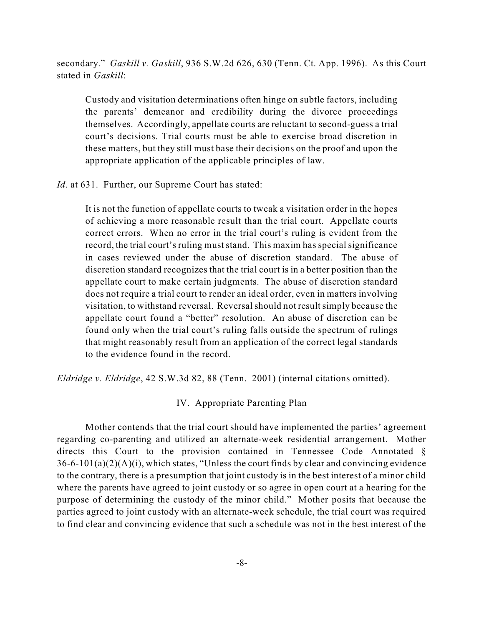secondary." *Gaskill v. Gaskill*, 936 S.W.2d 626, 630 (Tenn. Ct. App. 1996). As this Court stated in *Gaskill*:

Custody and visitation determinations often hinge on subtle factors, including the parents' demeanor and credibility during the divorce proceedings themselves. Accordingly, appellate courts are reluctant to second-guess a trial court's decisions. Trial courts must be able to exercise broad discretion in these matters, but they still must base their decisions on the proof and upon the appropriate application of the applicable principles of law.

*Id*. at 631. Further, our Supreme Court has stated:

It is not the function of appellate courts to tweak a visitation order in the hopes of achieving a more reasonable result than the trial court. Appellate courts correct errors. When no error in the trial court's ruling is evident from the record, the trial court's ruling must stand. This maxim has special significance in cases reviewed under the abuse of discretion standard. The abuse of discretion standard recognizes that the trial court is in a better position than the appellate court to make certain judgments. The abuse of discretion standard does not require a trial court to render an ideal order, even in matters involving visitation, to withstand reversal. Reversalshould not resultsimply because the appellate court found a "better" resolution. An abuse of discretion can be found only when the trial court's ruling falls outside the spectrum of rulings that might reasonably result from an application of the correct legal standards to the evidence found in the record.

*Eldridge v. Eldridge*, 42 S.W.3d 82, 88 (Tenn. 2001) (internal citations omitted).

### IV. Appropriate Parenting Plan

Mother contends that the trial court should have implemented the parties' agreement regarding co-parenting and utilized an alternate-week residential arrangement. Mother directs this Court to the provision contained in Tennessee Code Annotated §  $36-6-101(a)(2)(A)(i)$ , which states, "Unless the court finds by clear and convincing evidence to the contrary, there is a presumption that joint custody is in the best interest of a minor child where the parents have agreed to joint custody or so agree in open court at a hearing for the purpose of determining the custody of the minor child." Mother posits that because the parties agreed to joint custody with an alternate-week schedule, the trial court was required to find clear and convincing evidence that such a schedule was not in the best interest of the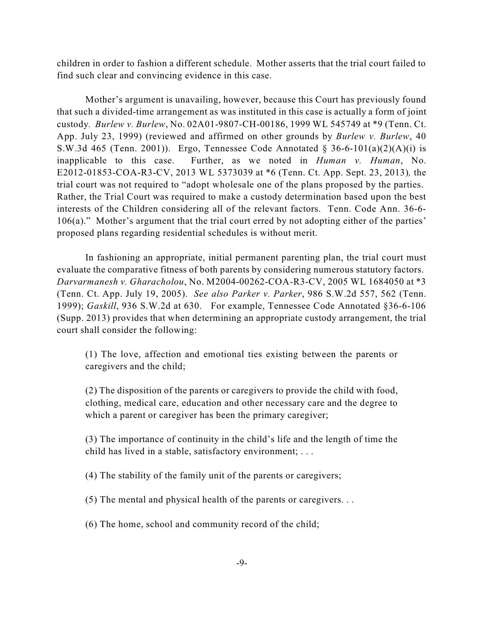children in order to fashion a different schedule. Mother asserts that the trial court failed to find such clear and convincing evidence in this case.

Mother's argument is unavailing, however, because this Court has previously found that such a divided-time arrangement as was instituted in this case is actually a form of joint custody*. Burlew v. Burlew*, No. 02A01-9807-CH-00186, 1999 WL 545749 at \*9 (Tenn. Ct. App. July 23, 1999) (reviewed and affirmed on other grounds by *Burlew v. Burlew*, 40 S.W.3d 465 (Tenn. 2001)). Ergo, Tennessee Code Annotated § 36-6-101(a)(2)(A)(i) is inapplicable to this case. Further, as we noted in *Human v. Human*, No. E2012-01853-COA-R3-CV, 2013 WL 5373039 at \*6 (Tenn. Ct. App. Sept. 23, 2013)*,* the trial court was not required to "adopt wholesale one of the plans proposed by the parties. Rather, the Trial Court was required to make a custody determination based upon the best interests of the Children considering all of the relevant factors. Tenn. Code Ann. 36-6- 106(a)." Mother's argument that the trial court erred by not adopting either of the parties' proposed plans regarding residential schedules is without merit.

In fashioning an appropriate, initial permanent parenting plan, the trial court must evaluate the comparative fitness of both parents by considering numerous statutory factors. *Darvarmanesh v. Gharacholou*, No. M2004-00262-COA-R3-CV, 2005 WL 1684050 at \*3 (Tenn. Ct. App. July 19, 2005). *See also Parker v. Parker*, 986 S.W.2d 557, 562 (Tenn. 1999); *Gaskill*, 936 S.W.2d at 630. For example, Tennessee Code Annotated §36-6-106 (Supp. 2013) provides that when determining an appropriate custody arrangement, the trial court shall consider the following:

(1) The love, affection and emotional ties existing between the parents or caregivers and the child;

(2) The disposition of the parents or caregivers to provide the child with food, clothing, medical care, education and other necessary care and the degree to which a parent or caregiver has been the primary caregiver;

(3) The importance of continuity in the child's life and the length of time the child has lived in a stable, satisfactory environment; . . .

(4) The stability of the family unit of the parents or caregivers;

(5) The mental and physical health of the parents or caregivers. . .

(6) The home, school and community record of the child;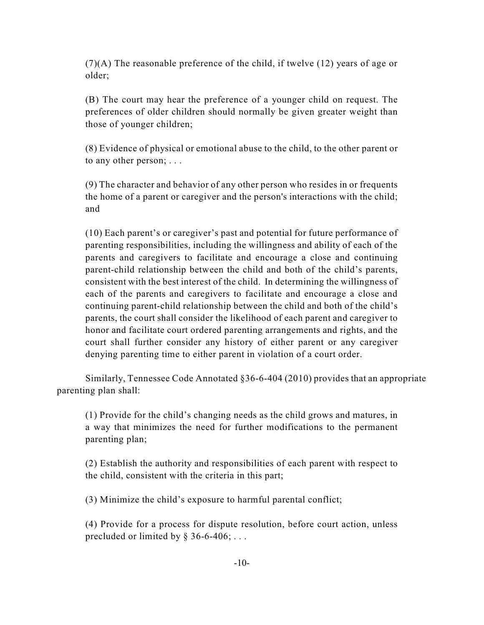(7)(A) The reasonable preference of the child, if twelve (12) years of age or older;

(B) The court may hear the preference of a younger child on request. The preferences of older children should normally be given greater weight than those of younger children;

(8) Evidence of physical or emotional abuse to the child, to the other parent or to any other person; . . .

(9) The character and behavior of any other person who resides in or frequents the home of a parent or caregiver and the person's interactions with the child; and

(10) Each parent's or caregiver's past and potential for future performance of parenting responsibilities, including the willingness and ability of each of the parents and caregivers to facilitate and encourage a close and continuing parent-child relationship between the child and both of the child's parents, consistent with the best interest of the child. In determining the willingness of each of the parents and caregivers to facilitate and encourage a close and continuing parent-child relationship between the child and both of the child's parents, the court shall consider the likelihood of each parent and caregiver to honor and facilitate court ordered parenting arrangements and rights, and the court shall further consider any history of either parent or any caregiver denying parenting time to either parent in violation of a court order.

Similarly, Tennessee Code Annotated §36-6-404 (2010) provides that an appropriate parenting plan shall:

(1) Provide for the child's changing needs as the child grows and matures, in a way that minimizes the need for further modifications to the permanent parenting plan;

(2) Establish the authority and responsibilities of each parent with respect to the child, consistent with the criteria in this part;

(3) Minimize the child's exposure to harmful parental conflict;

(4) Provide for a process for dispute resolution, before court action, unless precluded or limited by  $\S 36-6-406; \ldots$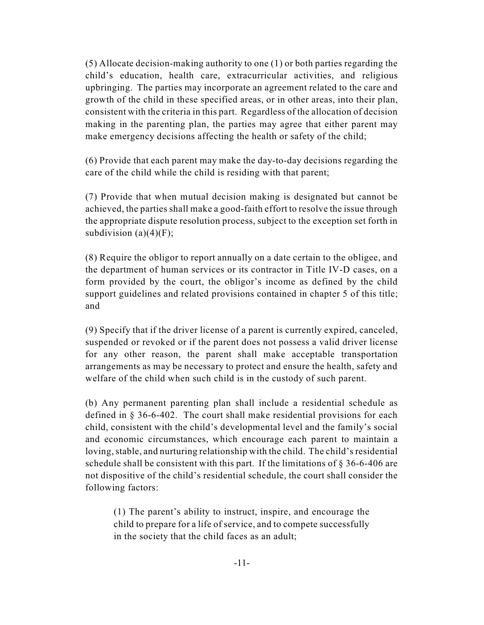(5) Allocate decision-making authority to one (1) or both parties regarding the child's education, health care, extracurricular activities, and religious upbringing. The parties may incorporate an agreement related to the care and growth of the child in these specified areas, or in other areas, into their plan, consistent with the criteria in this part. Regardless of the allocation of decision making in the parenting plan, the parties may agree that either parent may make emergency decisions affecting the health or safety of the child;

(6) Provide that each parent may make the day-to-day decisions regarding the care of the child while the child is residing with that parent;

(7) Provide that when mutual decision making is designated but cannot be achieved, the parties shall make a good-faith effort to resolve the issue through the appropriate dispute resolution process, subject to the exception set forth in subdivision  $(a)(4)(F)$ ;

(8) Require the obligor to report annually on a date certain to the obligee, and the department of human services or its contractor in Title IV-D cases, on a form provided by the court, the obligor's income as defined by the child support guidelines and related provisions contained in chapter 5 of this title; and

(9) Specify that if the driver license of a parent is currently expired, canceled, suspended or revoked or if the parent does not possess a valid driver license for any other reason, the parent shall make acceptable transportation arrangements as may be necessary to protect and ensure the health, safety and welfare of the child when such child is in the custody of such parent.

(b) Any permanent parenting plan shall include a residential schedule as defined in § 36-6-402. The court shall make residential provisions for each child, consistent with the child's developmental level and the family's social and economic circumstances, which encourage each parent to maintain a loving, stable, and nurturing relationship with the child. The child's residential schedule shall be consistent with this part. If the limitations of  $\S 36-6-406$  are not dispositive of the child's residential schedule, the court shall consider the following factors:

(1) The parent's ability to instruct, inspire, and encourage the child to prepare for a life of service, and to compete successfully in the society that the child faces as an adult;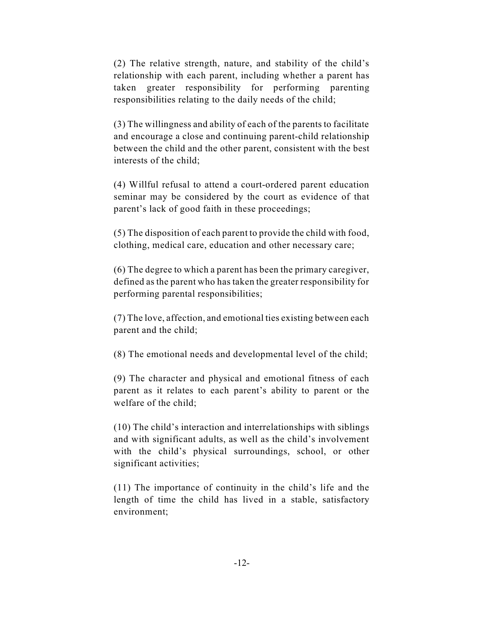(2) The relative strength, nature, and stability of the child's relationship with each parent, including whether a parent has taken greater responsibility for performing parenting responsibilities relating to the daily needs of the child;

(3) The willingness and ability of each of the parents to facilitate and encourage a close and continuing parent-child relationship between the child and the other parent, consistent with the best interests of the child;

(4) Willful refusal to attend a court-ordered parent education seminar may be considered by the court as evidence of that parent's lack of good faith in these proceedings;

(5) The disposition of each parent to provide the child with food, clothing, medical care, education and other necessary care;

(6) The degree to which a parent has been the primary caregiver, defined as the parent who has taken the greater responsibility for performing parental responsibilities;

(7) The love, affection, and emotional ties existing between each parent and the child;

(8) The emotional needs and developmental level of the child;

(9) The character and physical and emotional fitness of each parent as it relates to each parent's ability to parent or the welfare of the child;

(10) The child's interaction and interrelationships with siblings and with significant adults, as well as the child's involvement with the child's physical surroundings, school, or other significant activities;

(11) The importance of continuity in the child's life and the length of time the child has lived in a stable, satisfactory environment;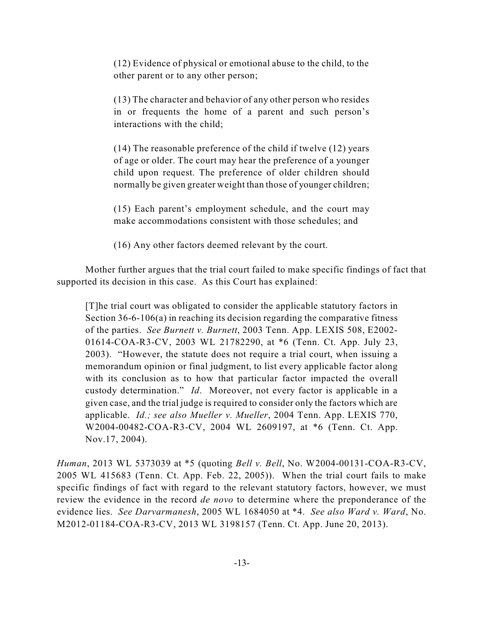(12) Evidence of physical or emotional abuse to the child, to the other parent or to any other person;

(13) The character and behavior of any other person who resides in or frequents the home of a parent and such person's interactions with the child;

(14) The reasonable preference of the child if twelve (12) years of age or older. The court may hear the preference of a younger child upon request. The preference of older children should normally be given greater weight than those of younger children;

(15) Each parent's employment schedule, and the court may make accommodations consistent with those schedules; and

(16) Any other factors deemed relevant by the court.

Mother further argues that the trial court failed to make specific findings of fact that supported its decision in this case. As this Court has explained:

[T]he trial court was obligated to consider the applicable statutory factors in Section 36-6-106(a) in reaching its decision regarding the comparative fitness of the parties. *See Burnett v. Burnett*, 2003 Tenn. App. LEXIS 508, E2002- 01614-COA-R3-CV, 2003 WL 21782290, at \*6 (Tenn. Ct. App. July 23, 2003). "However, the statute does not require a trial court, when issuing a memorandum opinion or final judgment, to list every applicable factor along with its conclusion as to how that particular factor impacted the overall custody determination." *Id*. Moreover, not every factor is applicable in a given case, and the trial judge is required to consider only the factors which are applicable. *Id.; see also Mueller v. Mueller*, 2004 Tenn. App. LEXIS 770, W2004-00482-COA-R3-CV, 2004 WL 2609197, at \*6 (Tenn. Ct. App. Nov.17, 2004).

*Human*, 2013 WL 5373039 at \*5 (quoting *Bell v. Bell*, No. W2004-00131-COA-R3-CV, 2005 WL 415683 (Tenn. Ct. App. Feb. 22, 2005)). When the trial court fails to make specific findings of fact with regard to the relevant statutory factors, however, we must review the evidence in the record *de novo* to determine where the preponderance of the evidence lies. *See Darvarmanesh*, 2005 WL 1684050 at \*4. *See also Ward v. Ward*, No. M2012-01184-COA-R3-CV, 2013 WL 3198157 (Tenn. Ct. App. June 20, 2013).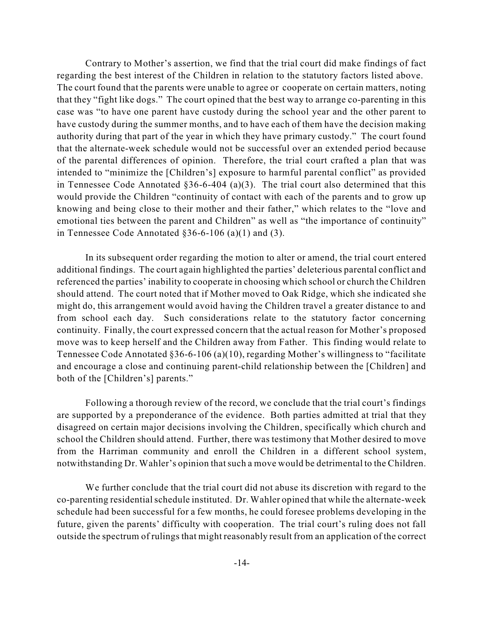Contrary to Mother's assertion, we find that the trial court did make findings of fact regarding the best interest of the Children in relation to the statutory factors listed above. The court found that the parents were unable to agree or cooperate on certain matters, noting that they "fight like dogs." The court opined that the best way to arrange co-parenting in this case was "to have one parent have custody during the school year and the other parent to have custody during the summer months, and to have each of them have the decision making authority during that part of the year in which they have primary custody." The court found that the alternate-week schedule would not be successful over an extended period because of the parental differences of opinion. Therefore, the trial court crafted a plan that was intended to "minimize the [Children's] exposure to harmful parental conflict" as provided in Tennessee Code Annotated  $\S 36-6-404$  (a)(3). The trial court also determined that this would provide the Children "continuity of contact with each of the parents and to grow up knowing and being close to their mother and their father," which relates to the "love and emotional ties between the parent and Children" as well as "the importance of continuity" in Tennessee Code Annotated  $\S 36-6-106$  (a)(1) and (3).

In its subsequent order regarding the motion to alter or amend, the trial court entered additional findings. The court again highlighted the parties' deleterious parental conflict and referenced the parties' inability to cooperate in choosing which school or church the Children should attend. The court noted that if Mother moved to Oak Ridge, which she indicated she might do, this arrangement would avoid having the Children travel a greater distance to and from school each day. Such considerations relate to the statutory factor concerning continuity. Finally, the court expressed concern that the actual reason for Mother's proposed move was to keep herself and the Children away from Father. This finding would relate to Tennessee Code Annotated §36-6-106 (a)(10), regarding Mother's willingness to "facilitate and encourage a close and continuing parent-child relationship between the [Children] and both of the [Children's] parents."

Following a thorough review of the record, we conclude that the trial court's findings are supported by a preponderance of the evidence. Both parties admitted at trial that they disagreed on certain major decisions involving the Children, specifically which church and school the Children should attend. Further, there was testimony that Mother desired to move from the Harriman community and enroll the Children in a different school system, notwithstanding Dr. Wahler's opinion thatsuch a move would be detrimental to the Children.

We further conclude that the trial court did not abuse its discretion with regard to the co-parenting residentialschedule instituted. Dr. Wahler opined that while the alternate-week schedule had been successful for a few months, he could foresee problems developing in the future, given the parents' difficulty with cooperation. The trial court's ruling does not fall outside the spectrum of rulings that might reasonably result from an application of the correct